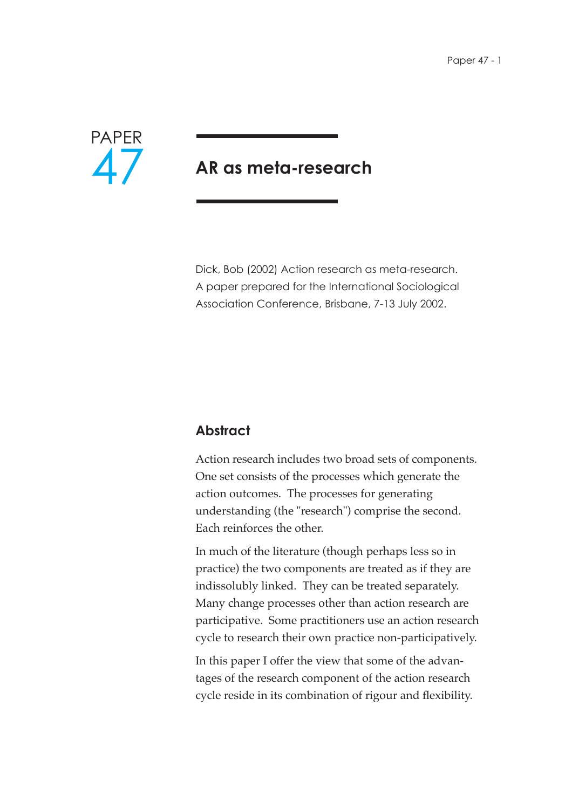

# **AR as meta-research**

Dick, Bob (2002) Action research as meta-research. A paper prepared for the International Sociological Association Conference, Brisbane, 7-13 July 2002.

# **Abstract**

Action research includes two broad sets of components. One set consists of the processes which generate the action outcomes. The processes for generating understanding (the "research") comprise the second. Each reinforces the other.

In much of the literature (though perhaps less so in practice) the two components are treated as if they are indissolubly linked. They can be treated separately. Many change processes other than action research are participative. Some practitioners use an action research cycle to research their own practice non-participatively.

In this paper I offer the view that some of the advantages of the research component of the action research cycle reside in its combination of rigour and flexibility.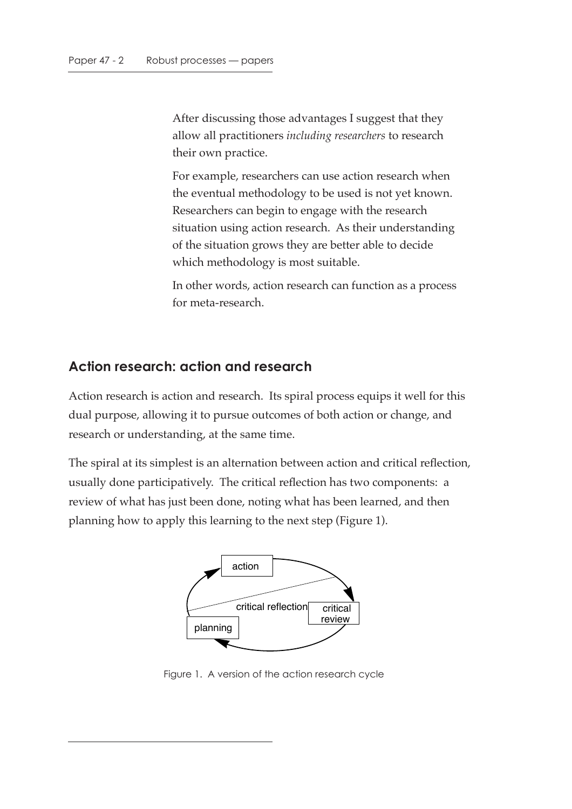After discussing those advantages I suggest that they allow all practitioners *including researchers* to research their own practice.

For example, researchers can use action research when the eventual methodology to be used is not yet known. Researchers can begin to engage with the research situation using action research. As their understanding of the situation grows they are better able to decide which methodology is most suitable.

In other words, action research can function as a process for meta-research.

#### **Action research: action and research**

Action research is action and research. Its spiral process equips it well for this dual purpose, allowing it to pursue outcomes of both action or change, and research or understanding, at the same time.

The spiral at its simplest is an alternation between action and critical reflection, usually done participatively. The critical reflection has two components: a review of what has just been done, noting what has been learned, and then planning how to apply this learning to the next step (Figure 1).



Figure 1. A version of the action research cycle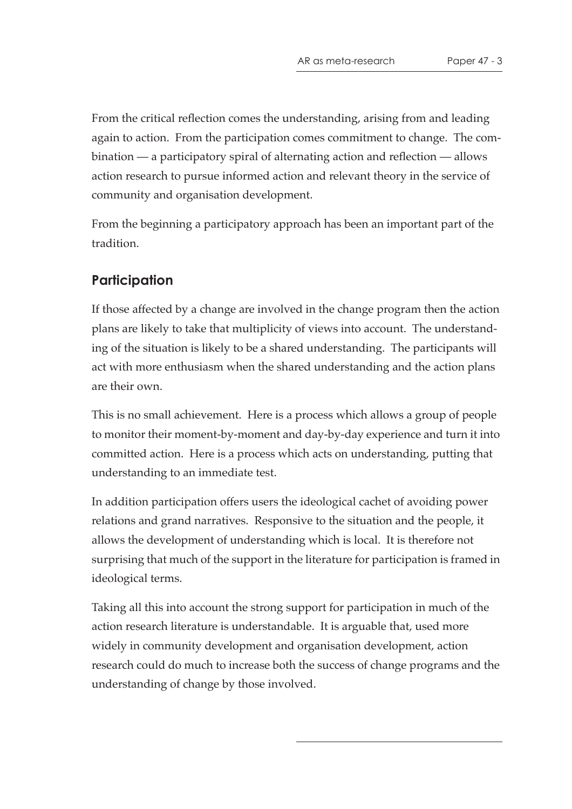From the critical reflection comes the understanding, arising from and leading again to action. From the participation comes commitment to change. The combination — a participatory spiral of alternating action and reflection — allows action research to pursue informed action and relevant theory in the service of community and organisation development.

From the beginning a participatory approach has been an important part of the tradition.

#### **Participation**

If those affected by a change are involved in the change program then the action plans are likely to take that multiplicity of views into account. The understanding of the situation is likely to be a shared understanding. The participants will act with more enthusiasm when the shared understanding and the action plans are their own.

This is no small achievement. Here is a process which allows a group of people to monitor their moment-by-moment and day-by-day experience and turn it into committed action. Here is a process which acts on understanding, putting that understanding to an immediate test.

In addition participation offers users the ideological cachet of avoiding power relations and grand narratives. Responsive to the situation and the people, it allows the development of understanding which is local. It is therefore not surprising that much of the support in the literature for participation is framed in ideological terms.

Taking all this into account the strong support for participation in much of the action research literature is understandable. It is arguable that, used more widely in community development and organisation development, action research could do much to increase both the success of change programs and the understanding of change by those involved.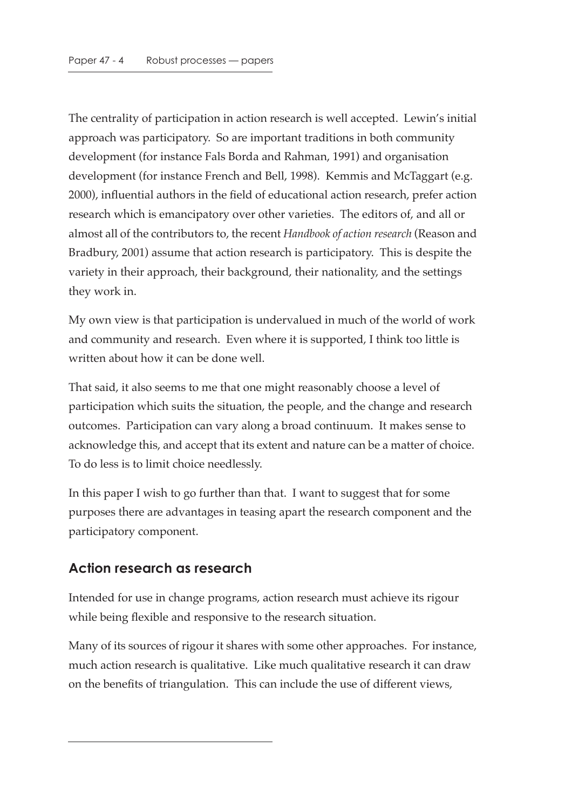The centrality of participation in action research is well accepted. Lewin's initial approach was participatory. So are important traditions in both community development (for instance Fals Borda and Rahman, 1991) and organisation development (for instance French and Bell, 1998). Kemmis and McTaggart (e.g. 2000), influential authors in the field of educational action research, prefer action research which is emancipatory over other varieties. The editors of, and all or almost all of the contributors to, the recent *Handbook of action research* (Reason and Bradbury, 2001) assume that action research is participatory. This is despite the variety in their approach, their background, their nationality, and the settings they work in.

My own view is that participation is undervalued in much of the world of work and community and research. Even where it is supported, I think too little is written about how it can be done well.

That said, it also seems to me that one might reasonably choose a level of participation which suits the situation, the people, and the change and research outcomes. Participation can vary along a broad continuum. It makes sense to acknowledge this, and accept that its extent and nature can be a matter of choice. To do less is to limit choice needlessly.

In this paper I wish to go further than that. I want to suggest that for some purposes there are advantages in teasing apart the research component and the participatory component.

# **Action research as research**

Intended for use in change programs, action research must achieve its rigour while being flexible and responsive to the research situation.

Many of its sources of rigour it shares with some other approaches. For instance, much action research is qualitative. Like much qualitative research it can draw on the benefits of triangulation. This can include the use of different views,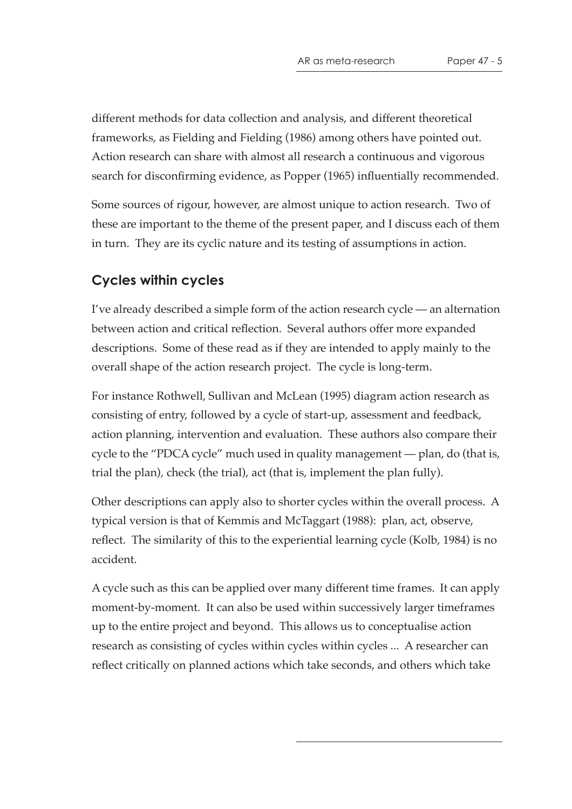different methods for data collection and analysis, and different theoretical frameworks, as Fielding and Fielding (1986) among others have pointed out. Action research can share with almost all research a continuous and vigorous search for disconfirming evidence, as Popper (1965) influentially recommended.

Some sources of rigour, however, are almost unique to action research. Two of these are important to the theme of the present paper, and I discuss each of them in turn. They are its cyclic nature and its testing of assumptions in action.

#### **Cycles within cycles**

I've already described a simple form of the action research cycle — an alternation between action and critical reflection. Several authors offer more expanded descriptions. Some of these read as if they are intended to apply mainly to the overall shape of the action research project. The cycle is long-term.

For instance Rothwell, Sullivan and McLean (1995) diagram action research as consisting of entry, followed by a cycle of start-up, assessment and feedback, action planning, intervention and evaluation. These authors also compare their cycle to the "PDCA cycle" much used in quality management — plan, do (that is, trial the plan), check (the trial), act (that is, implement the plan fully).

Other descriptions can apply also to shorter cycles within the overall process. A typical version is that of Kemmis and McTaggart (1988): plan, act, observe, reflect. The similarity of this to the experiential learning cycle (Kolb, 1984) is no accident.

A cycle such as this can be applied over many different time frames. It can apply moment-by-moment. It can also be used within successively larger timeframes up to the entire project and beyond. This allows us to conceptualise action research as consisting of cycles within cycles within cycles ... A researcher can reflect critically on planned actions which take seconds, and others which take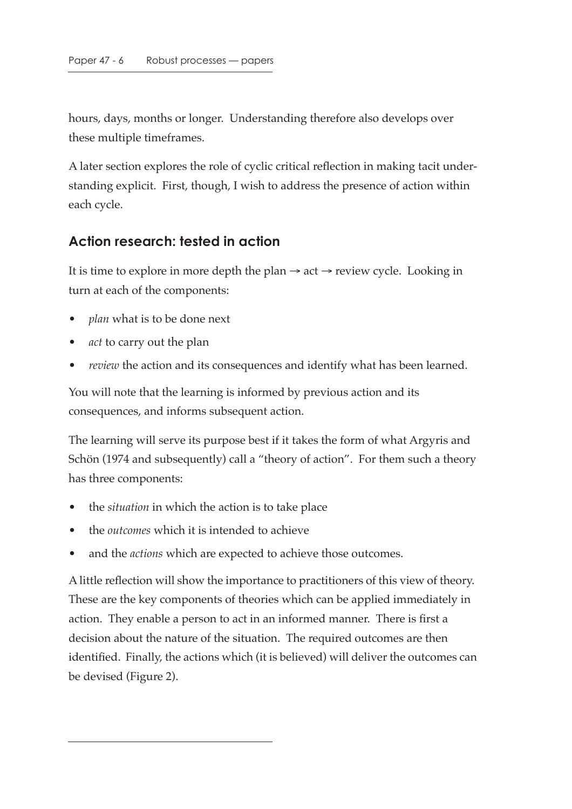hours, days, months or longer. Understanding therefore also develops over these multiple timeframes.

A later section explores the role of cyclic critical reflection in making tacit understanding explicit. First, though, I wish to address the presence of action within each cycle.

#### **Action research: tested in action**

It is time to explore in more depth the plan  $\rightarrow$  act  $\rightarrow$  review cycle. Looking in turn at each of the components:

- *plan* what is to be done next
- *act* to carry out the plan
- *review* the action and its consequences and identify what has been learned.

You will note that the learning is informed by previous action and its consequences, and informs subsequent action.

The learning will serve its purpose best if it takes the form of what Argyris and Schön (1974 and subsequently) call a "theory of action". For them such a theory has three components:

- the *situation* in which the action is to take place
- the *outcomes* which it is intended to achieve
- and the *actions* which are expected to achieve those outcomes.

A little reflection will show the importance to practitioners of this view of theory. These are the key components of theories which can be applied immediately in action. They enable a person to act in an informed manner. There is first a decision about the nature of the situation. The required outcomes are then identified. Finally, the actions which (it is believed) will deliver the outcomes can be devised (Figure 2).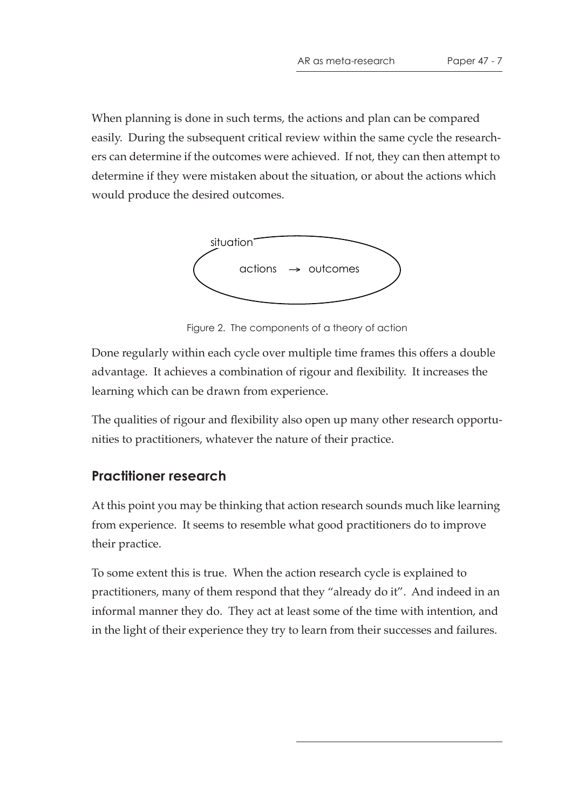When planning is done in such terms, the actions and plan can be compared easily. During the subsequent critical review within the same cycle the researchers can determine if the outcomes were achieved. If not, they can then attempt to determine if they were mistaken about the situation, or about the actions which would produce the desired outcomes.



Figure 2. The components of a theory of action

Done regularly within each cycle over multiple time frames this offers a double advantage. It achieves a combination of rigour and flexibility. It increases the learning which can be drawn from experience.

The qualities of rigour and flexibility also open up many other research opportunities to practitioners, whatever the nature of their practice.

# **Practitioner research**

At this point you may be thinking that action research sounds much like learning from experience. It seems to resemble what good practitioners do to improve their practice.

To some extent this is true. When the action research cycle is explained to practitioners, many of them respond that they "already do it". And indeed in an informal manner they do. They act at least some of the time with intention, and in the light of their experience they try to learn from their successes and failures.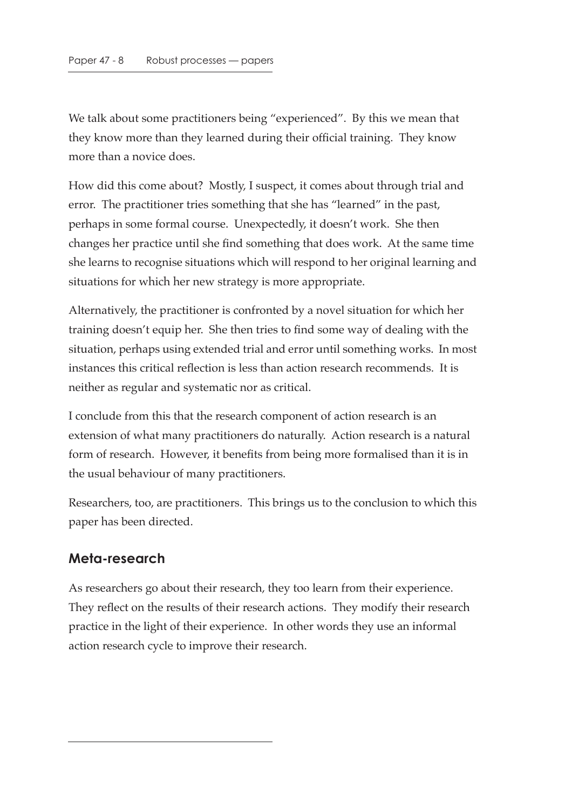We talk about some practitioners being "experienced". By this we mean that they know more than they learned during their official training. They know more than a novice does.

How did this come about? Mostly, I suspect, it comes about through trial and error. The practitioner tries something that she has "learned" in the past, perhaps in some formal course. Unexpectedly, it doesn't work. She then changes her practice until she find something that does work. At the same time she learns to recognise situations which will respond to her original learning and situations for which her new strategy is more appropriate.

Alternatively, the practitioner is confronted by a novel situation for which her training doesn't equip her. She then tries to find some way of dealing with the situation, perhaps using extended trial and error until something works. In most instances this critical reflection is less than action research recommends. It is neither as regular and systematic nor as critical.

I conclude from this that the research component of action research is an extension of what many practitioners do naturally. Action research is a natural form of research. However, it benefits from being more formalised than it is in the usual behaviour of many practitioners.

Researchers, too, are practitioners. This brings us to the conclusion to which this paper has been directed.

#### **Meta-research**

As researchers go about their research, they too learn from their experience. They reflect on the results of their research actions. They modify their research practice in the light of their experience. In other words they use an informal action research cycle to improve their research.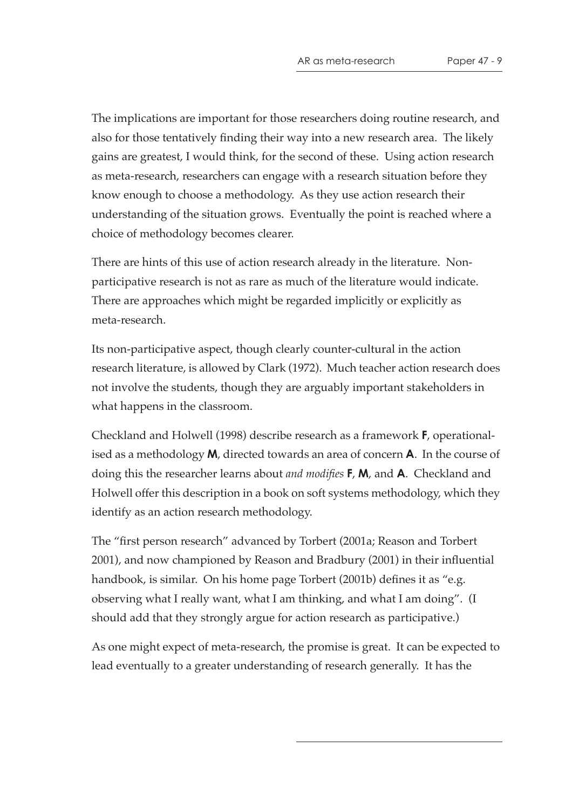The implications are important for those researchers doing routine research, and also for those tentatively finding their way into a new research area. The likely gains are greatest, I would think, for the second of these. Using action research as meta-research, researchers can engage with a research situation before they know enough to choose a methodology. As they use action research their understanding of the situation grows. Eventually the point is reached where a choice of methodology becomes clearer.

There are hints of this use of action research already in the literature. Nonparticipative research is not as rare as much of the literature would indicate. There are approaches which might be regarded implicitly or explicitly as meta-research.

Its non-participative aspect, though clearly counter-cultural in the action research literature, is allowed by Clark (1972). Much teacher action research does not involve the students, though they are arguably important stakeholders in what happens in the classroom.

Checkland and Holwell (1998) describe research as a framework **F**, operationalised as a methodology **M**, directed towards an area of concern **A**. In the course of doing this the researcher learns about *and modifies* **F**, **M**, and **A**. Checkland and Holwell offer this description in a book on soft systems methodology, which they identify as an action research methodology.

The "first person research" advanced by Torbert (2001a; Reason and Torbert 2001), and now championed by Reason and Bradbury (2001) in their influential handbook, is similar. On his home page Torbert (2001b) defines it as "e.g. observing what I really want, what I am thinking, and what I am doing". (I should add that they strongly argue for action research as participative.)

As one might expect of meta-research, the promise is great. It can be expected to lead eventually to a greater understanding of research generally. It has the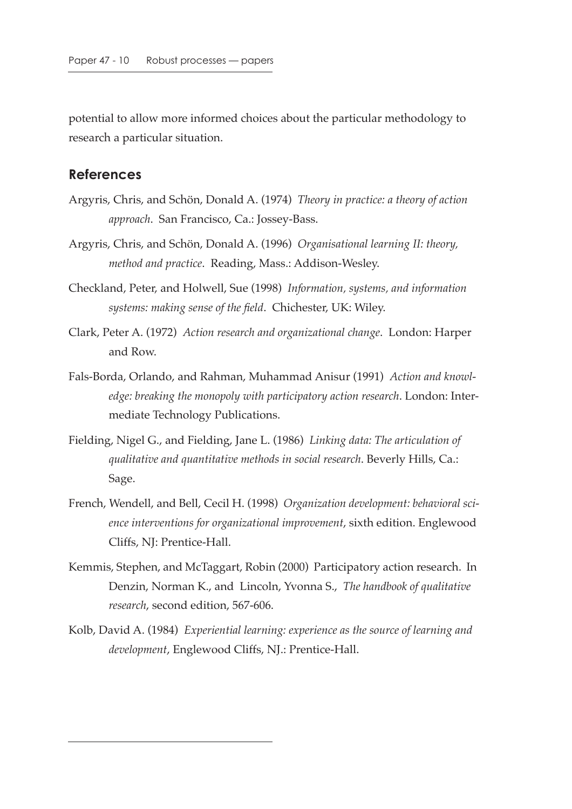potential to allow more informed choices about the particular methodology to research a particular situation.

#### **References**

- Argyris, Chris, and Schön, Donald A. (1974) *Theory in practice: a theory of action approach*. San Francisco, Ca.: Jossey-Bass.
- Argyris, Chris, and Schön, Donald A. (1996) *Organisational learning II: theory, method and practice*. Reading, Mass.: Addison-Wesley.
- Checkland, Peter, and Holwell, Sue (1998) *Information, systems, and information systems: making sense of the field*. Chichester, UK: Wiley.
- Clark, Peter A. (1972) *Action research and organizational change*. London: Harper and Row.
- Fals-Borda, Orlando, and Rahman, Muhammad Anisur (1991) *Action and knowledge: breaking the monopoly with participatory action research*. London: Intermediate Technology Publications.
- Fielding, Nigel G., and Fielding, Jane L. (1986) *Linking data: The articulation of qualitative and quantitative methods in social research*. Beverly Hills, Ca.: Sage.
- French, Wendell, and Bell, Cecil H. (1998) *Organization development: behavioral science interventions for organizational improvement*, sixth edition. Englewood Cliffs, NJ: Prentice-Hall.
- Kemmis, Stephen, and McTaggart, Robin (2000) Participatory action research. In Denzin, Norman K., and Lincoln, Yvonna S., *The handbook of qualitative research*, second edition, 567-606.
- Kolb, David A. (1984) *Experiential learning: experience as the source of learning and development*, Englewood Cliffs, NJ.: Prentice-Hall.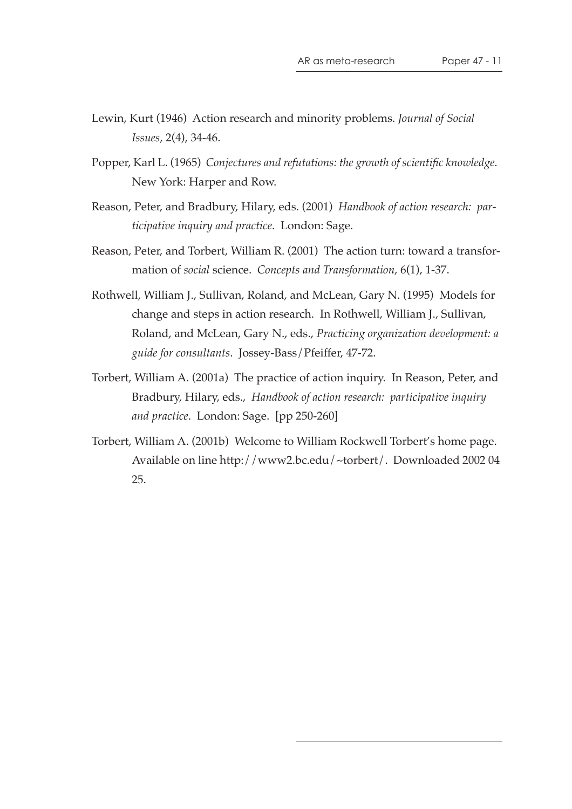- Lewin, Kurt (1946) Action research and minority problems. *Journal of Social Issues*, 2(4), 34-46.
- Popper, Karl L. (1965) *Conjectures and refutations: the growth of scientific knowledge*. New York: Harper and Row.
- Reason, Peter, and Bradbury, Hilary, eds. (2001) *Handbook of action research: participative inquiry and practice*. London: Sage.
- Reason, Peter, and Torbert, William R. (2001) The action turn: toward a transformation of *social* science. *Concepts and Transformation*, 6(1), 1-37.
- Rothwell, William J., Sullivan, Roland, and McLean, Gary N. (1995) Models for change and steps in action research. In Rothwell, William J., Sullivan, Roland, and McLean, Gary N., eds., *Practicing organization development: a guide for consultants*. Jossey-Bass/Pfeiffer, 47-72.
- Torbert, William A. (2001a) The practice of action inquiry. In Reason, Peter, and Bradbury, Hilary, eds., *Handbook of action research: participative inquiry and practice*. London: Sage. [pp 250-260]
- Torbert, William A. (2001b) Welcome to William Rockwell Torbert's home page. Available on line http://www2.bc.edu/~torbert/. Downloaded 2002 04 25.